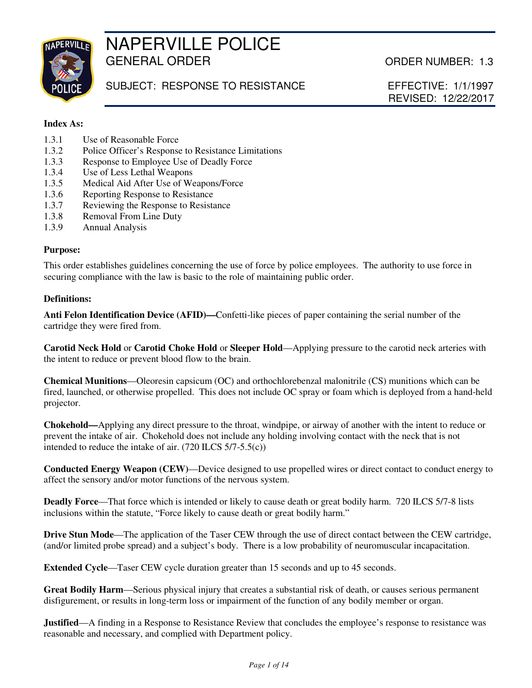

# NAPERVILLE POLICE GENERAL ORDER **CENERAL ORDER CENERAL** ORDER NUMBER: 1.3

SUBJECT: RESPONSE TO RESISTANCE EFFECTIVE: 1/1/1997

REVISED: 12/22/2017

## **Index As:**

- 1.3.1 Use of Reasonable Force
- 1.3.2 Police Officer's Response to Resistance Limitations
- 1.3.3 Response to Employee Use of Deadly Force
- 1.3.4 Use of Less Lethal Weapons<br>1.3.5 Medical Aid After Use of We
- Medical Aid After Use of Weapons/Force
- 1.3.6 Reporting Response to Resistance
- 1.3.7 Reviewing the Response to Resistance
- 1.3.8 Removal From Line Duty
- 1.3.9 Annual Analysis

### **Purpose:**

This order establishes guidelines concerning the use of force by police employees. The authority to use force in securing compliance with the law is basic to the role of maintaining public order.

### **Definitions:**

**Anti Felon Identification Device (AFID)—**Confetti-like pieces of paper containing the serial number of the cartridge they were fired from.

**Carotid Neck Hold** or **Carotid Choke Hold** or **Sleeper Hold**—Applying pressure to the carotid neck arteries with the intent to reduce or prevent blood flow to the brain.

**Chemical Munitions**—Oleoresin capsicum (OC) and orthochlorebenzal malonitrile (CS) munitions which can be fired, launched, or otherwise propelled. This does not include OC spray or foam which is deployed from a hand-held projector.

**Chokehold—**Applying any direct pressure to the throat, windpipe, or airway of another with the intent to reduce or prevent the intake of air. Chokehold does not include any holding involving contact with the neck that is not intended to reduce the intake of air. (720 ILCS 5/7-5.5(c))

**Conducted Energy Weapon (CEW)**—Device designed to use propelled wires or direct contact to conduct energy to affect the sensory and/or motor functions of the nervous system.

**Deadly Force**—That force which is intended or likely to cause death or great bodily harm. 720 ILCS 5/7-8 lists inclusions within the statute, "Force likely to cause death or great bodily harm."

**Drive Stun Mode**—The application of the Taser CEW through the use of direct contact between the CEW cartridge, (and/or limited probe spread) and a subject's body. There is a low probability of neuromuscular incapacitation.

**Extended Cycle**—Taser CEW cycle duration greater than 15 seconds and up to 45 seconds.

**Great Bodily Harm**—Serious physical injury that creates a substantial risk of death, or causes serious permanent disfigurement, or results in long-term loss or impairment of the function of any bodily member or organ.

**Justified—A** finding in a Response to Resistance Review that concludes the employee's response to resistance was reasonable and necessary, and complied with Department policy.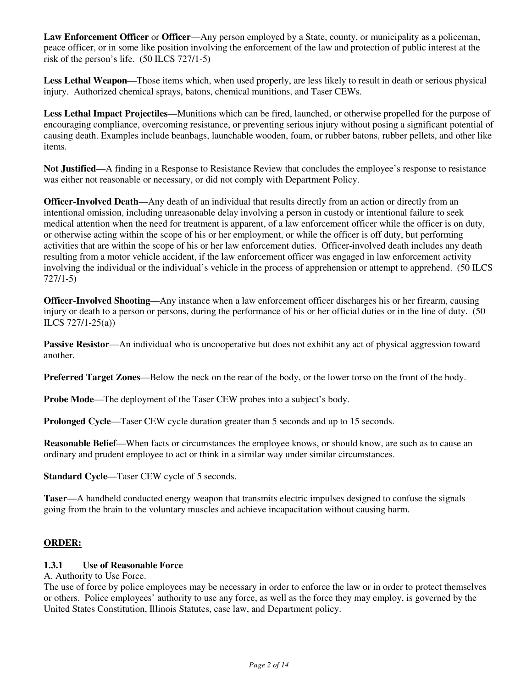**Law Enforcement Officer** or **Officer**—Any person employed by a State, county, or municipality as a policeman, peace officer, or in some like position involving the enforcement of the law and protection of public interest at the risk of the person's life. (50 ILCS 727/1-5)

**Less Lethal Weapon**—Those items which, when used properly, are less likely to result in death or serious physical injury. Authorized chemical sprays, batons, chemical munitions, and Taser CEWs.

**Less Lethal Impact Projectiles**—Munitions which can be fired, launched, or otherwise propelled for the purpose of encouraging compliance, overcoming resistance, or preventing serious injury without posing a significant potential of causing death. Examples include beanbags, launchable wooden, foam, or rubber batons, rubber pellets, and other like items.

**Not Justified**—A finding in a Response to Resistance Review that concludes the employee's response to resistance was either not reasonable or necessary, or did not comply with Department Policy.

**Officer-Involved Death—Any death of an individual that results directly from an action or directly from an** intentional omission, including unreasonable delay involving a person in custody or intentional failure to seek medical attention when the need for treatment is apparent, of a law enforcement officer while the officer is on duty, or otherwise acting within the scope of his or her employment, or while the officer is off duty, but performing activities that are within the scope of his or her law enforcement duties. Officer-involved death includes any death resulting from a motor vehicle accident, if the law enforcement officer was engaged in law enforcement activity involving the individual or the individual's vehicle in the process of apprehension or attempt to apprehend. (50 ILCS 727/1-5)

**Officer-Involved Shooting**—Any instance when a law enforcement officer discharges his or her firearm, causing injury or death to a person or persons, during the performance of his or her official duties or in the line of duty. (50 ILCS 727/1-25(a))

**Passive Resistor—An** individual who is uncooperative but does not exhibit any act of physical aggression toward another.

**Preferred Target Zones**—Below the neck on the rear of the body, or the lower torso on the front of the body.

**Probe Mode—The deployment of the Taser CEW probes into a subject's body.** 

**Prolonged Cycle—Taser CEW cycle duration greater than 5 seconds and up to 15 seconds.** 

**Reasonable Belief—When facts or circumstances the employee knows, or should know, are such as to cause an** ordinary and prudent employee to act or think in a similar way under similar circumstances.

**Standard Cycle**—Taser CEW cycle of 5 seconds.

**Taser**—A handheld conducted energy weapon that transmits electric impulses designed to confuse the signals going from the brain to the voluntary muscles and achieve incapacitation without causing harm.

#### **ORDER:**

#### **1.3.1 Use of Reasonable Force**

A. Authority to Use Force.

The use of force by police employees may be necessary in order to enforce the law or in order to protect themselves or others. Police employees' authority to use any force, as well as the force they may employ, is governed by the United States Constitution, Illinois Statutes, case law, and Department policy.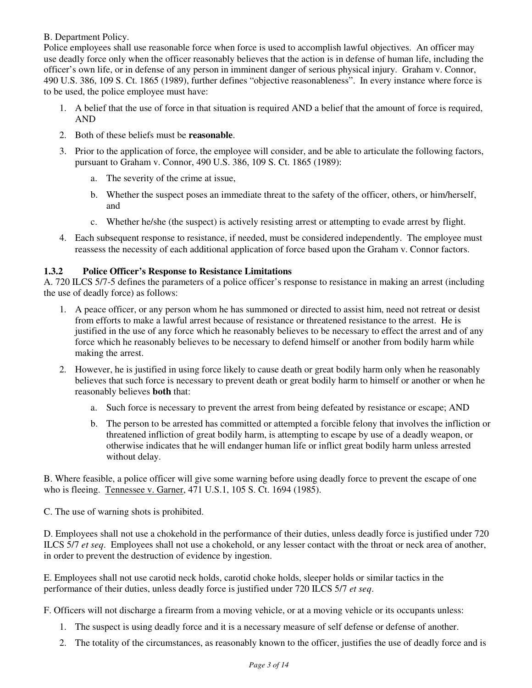B. Department Policy.

Police employees shall use reasonable force when force is used to accomplish lawful objectives. An officer may use deadly force only when the officer reasonably believes that the action is in defense of human life, including the officer's own life, or in defense of any person in imminent danger of serious physical injury. Graham v. Connor, 490 U.S. 386, 109 S. Ct. 1865 (1989), further defines "objective reasonableness". In every instance where force is to be used, the police employee must have:

- 1. A belief that the use of force in that situation is required AND a belief that the amount of force is required, AND
- 2. Both of these beliefs must be **reasonable**.
- 3. Prior to the application of force, the employee will consider, and be able to articulate the following factors, pursuant to Graham v. Connor, 490 U.S. 386, 109 S. Ct. 1865 (1989):
	- a. The severity of the crime at issue,
	- b. Whether the suspect poses an immediate threat to the safety of the officer, others, or him/herself, and
	- c. Whether he/she (the suspect) is actively resisting arrest or attempting to evade arrest by flight.
- 4. Each subsequent response to resistance, if needed, must be considered independently. The employee must reassess the necessity of each additional application of force based upon the Graham v. Connor factors.

# **1.3.2 Police Officer's Response to Resistance Limitations**

A. 720 ILCS 5/7-5 defines the parameters of a police officer's response to resistance in making an arrest (including the use of deadly force) as follows:

- 1. A peace officer, or any person whom he has summoned or directed to assist him, need not retreat or desist from efforts to make a lawful arrest because of resistance or threatened resistance to the arrest. He is justified in the use of any force which he reasonably believes to be necessary to effect the arrest and of any force which he reasonably believes to be necessary to defend himself or another from bodily harm while making the arrest.
- 2. However, he is justified in using force likely to cause death or great bodily harm only when he reasonably believes that such force is necessary to prevent death or great bodily harm to himself or another or when he reasonably believes **both** that:
	- a. Such force is necessary to prevent the arrest from being defeated by resistance or escape; AND
	- b. The person to be arrested has committed or attempted a forcible felony that involves the infliction or threatened infliction of great bodily harm, is attempting to escape by use of a deadly weapon, or otherwise indicates that he will endanger human life or inflict great bodily harm unless arrested without delay.

B. Where feasible, a police officer will give some warning before using deadly force to prevent the escape of one who is fleeing. Tennessee v. Garner, 471 U.S.1, 105 S. Ct. 1694 (1985).

C. The use of warning shots is prohibited.

D. Employees shall not use a chokehold in the performance of their duties, unless deadly force is justified under 720 ILCS 5/7 *et seq*. Employees shall not use a chokehold, or any lesser contact with the throat or neck area of another, in order to prevent the destruction of evidence by ingestion.

E. Employees shall not use carotid neck holds, carotid choke holds, sleeper holds or similar tactics in the performance of their duties, unless deadly force is justified under 720 ILCS 5/7 *et seq*.

F. Officers will not discharge a firearm from a moving vehicle, or at a moving vehicle or its occupants unless:

- 1. The suspect is using deadly force and it is a necessary measure of self defense or defense of another.
- 2. The totality of the circumstances, as reasonably known to the officer, justifies the use of deadly force and is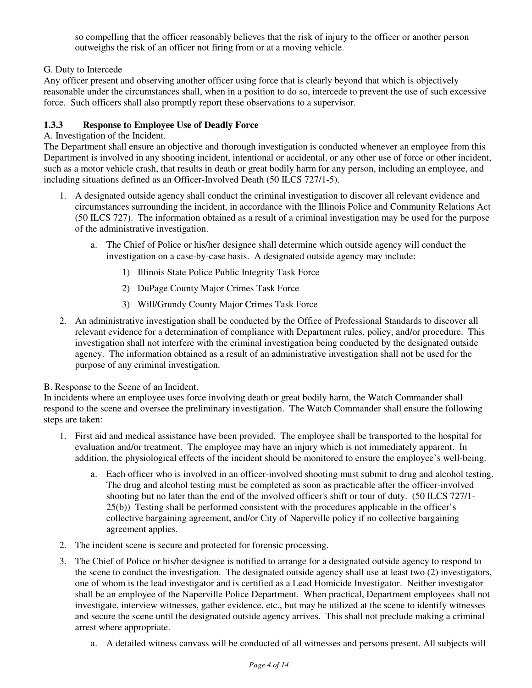so compelling that the officer reasonably believes that the risk of injury to the officer or another person outweighs the risk of an officer not firing from or at a moving vehicle.

# G. Duty to Intercede

Any officer present and observing another officer using force that is clearly beyond that which is objectively reasonable under the circumstances shall, when in a position to do so, intercede to prevent the use of such excessive force. Such officers shall also promptly report these observations to a supervisor.

# **1.3.3 Response to Employee Use of Deadly Force**

# A. Investigation of the Incident.

The Department shall ensure an objective and thorough investigation is conducted whenever an employee from this Department is involved in any shooting incident, intentional or accidental, or any other use of force or other incident, such as a motor vehicle crash, that results in death or great bodily harm for any person, including an employee, and including situations defined as an Officer-Involved Death (50 ILCS 727/1-5).

- 1. A designated outside agency shall conduct the criminal investigation to discover all relevant evidence and circumstances surrounding the incident, in accordance with the Illinois Police and Community Relations Act (50 ILCS 727). The information obtained as a result of a criminal investigation may be used for the purpose of the administrative investigation.
	- a. The Chief of Police or his/her designee shall determine which outside agency will conduct the investigation on a case-by-case basis. A designated outside agency may include:
		- 1) Illinois State Police Public Integrity Task Force
		- 2) DuPage County Major Crimes Task Force
		- 3) Will/Grundy County Major Crimes Task Force
- 2. An administrative investigation shall be conducted by the Office of Professional Standards to discover all relevant evidence for a determination of compliance with Department rules, policy, and/or procedure. This investigation shall not interfere with the criminal investigation being conducted by the designated outside agency. The information obtained as a result of an administrative investigation shall not be used for the purpose of any criminal investigation.

# B. Response to the Scene of an Incident.

In incidents where an employee uses force involving death or great bodily harm, the Watch Commander shall respond to the scene and oversee the preliminary investigation. The Watch Commander shall ensure the following steps are taken:

- 1. First aid and medical assistance have been provided. The employee shall be transported to the hospital for evaluation and/or treatment. The employee may have an injury which is not immediately apparent. In addition, the physiological effects of the incident should be monitored to ensure the employee's well-being.
	- a. Each officer who is involved in an officer-involved shooting must submit to drug and alcohol testing. The drug and alcohol testing must be completed as soon as practicable after the officer-involved shooting but no later than the end of the involved officer's shift or tour of duty. (50 ILCS 727/1- 25(b)) Testing shall be performed consistent with the procedures applicable in the officer's collective bargaining agreement, and/or City of Naperville policy if no collective bargaining agreement applies.
- 2. The incident scene is secure and protected for forensic processing.
- 3. The Chief of Police or his/her designee is notified to arrange for a designated outside agency to respond to the scene to conduct the investigation. The designated outside agency shall use at least two (2) investigators, one of whom is the lead investigator and is certified as a Lead Homicide Investigator. Neither investigator shall be an employee of the Naperville Police Department. When practical, Department employees shall not investigate, interview witnesses, gather evidence, etc., but may be utilized at the scene to identify witnesses and secure the scene until the designated outside agency arrives. This shall not preclude making a criminal arrest where appropriate.
	- a. A detailed witness canvass will be conducted of all witnesses and persons present. All subjects will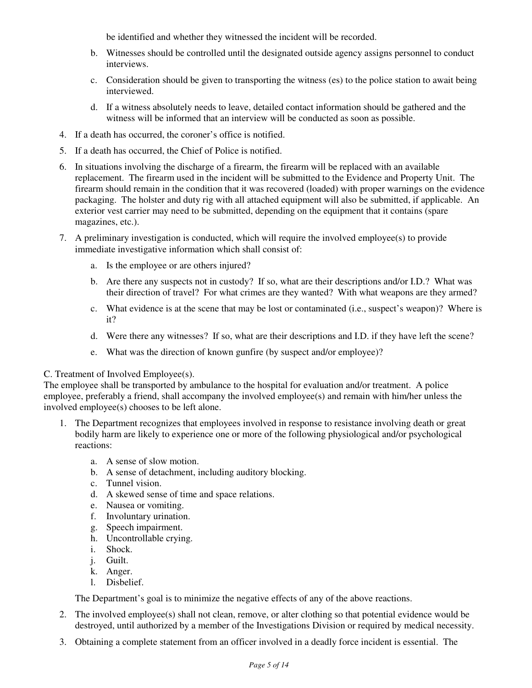be identified and whether they witnessed the incident will be recorded.

- b. Witnesses should be controlled until the designated outside agency assigns personnel to conduct interviews.
- c. Consideration should be given to transporting the witness (es) to the police station to await being interviewed.
- d. If a witness absolutely needs to leave, detailed contact information should be gathered and the witness will be informed that an interview will be conducted as soon as possible.
- 4. If a death has occurred, the coroner's office is notified.
- 5. If a death has occurred, the Chief of Police is notified.
- 6. In situations involving the discharge of a firearm, the firearm will be replaced with an available replacement. The firearm used in the incident will be submitted to the Evidence and Property Unit. The firearm should remain in the condition that it was recovered (loaded) with proper warnings on the evidence packaging. The holster and duty rig with all attached equipment will also be submitted, if applicable. An exterior vest carrier may need to be submitted, depending on the equipment that it contains (spare magazines, etc.).
- 7. A preliminary investigation is conducted, which will require the involved employee(s) to provide immediate investigative information which shall consist of:
	- a. Is the employee or are others injured?
	- b. Are there any suspects not in custody? If so, what are their descriptions and/or I.D.? What was their direction of travel? For what crimes are they wanted? With what weapons are they armed?
	- c. What evidence is at the scene that may be lost or contaminated (i.e., suspect's weapon)? Where is it?
	- d. Were there any witnesses? If so, what are their descriptions and I.D. if they have left the scene?
	- e. What was the direction of known gunfire (by suspect and/or employee)?

#### C. Treatment of Involved Employee(s).

The employee shall be transported by ambulance to the hospital for evaluation and/or treatment. A police employee, preferably a friend, shall accompany the involved employee(s) and remain with him/her unless the involved employee(s) chooses to be left alone.

- 1. The Department recognizes that employees involved in response to resistance involving death or great bodily harm are likely to experience one or more of the following physiological and/or psychological reactions:
	- a. A sense of slow motion.
	- b. A sense of detachment, including auditory blocking.
	- c. Tunnel vision.
	- d. A skewed sense of time and space relations.
	- e. Nausea or vomiting.
	- f. Involuntary urination.
	- g. Speech impairment.
	- h. Uncontrollable crying.
	- i. Shock.
	- j. Guilt.
	- k. Anger.
	- l. Disbelief.

The Department's goal is to minimize the negative effects of any of the above reactions.

- 2. The involved employee(s) shall not clean, remove, or alter clothing so that potential evidence would be destroyed, until authorized by a member of the Investigations Division or required by medical necessity.
- 3. Obtaining a complete statement from an officer involved in a deadly force incident is essential. The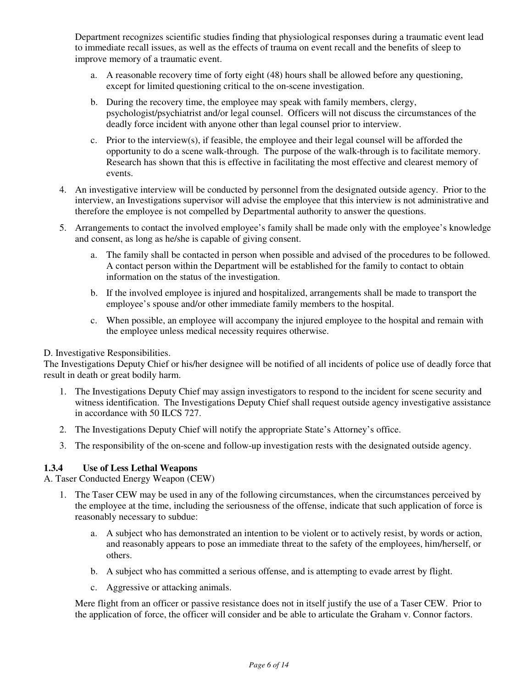Department recognizes scientific studies finding that physiological responses during a traumatic event lead to immediate recall issues, as well as the effects of trauma on event recall and the benefits of sleep to improve memory of a traumatic event.

- a. A reasonable recovery time of forty eight (48) hours shall be allowed before any questioning, except for limited questioning critical to the on-scene investigation.
- b. During the recovery time, the employee may speak with family members, clergy, psychologist/psychiatrist and/or legal counsel. Officers will not discuss the circumstances of the deadly force incident with anyone other than legal counsel prior to interview.
- c. Prior to the interview(s), if feasible, the employee and their legal counsel will be afforded the opportunity to do a scene walk-through. The purpose of the walk-through is to facilitate memory. Research has shown that this is effective in facilitating the most effective and clearest memory of events.
- 4. An investigative interview will be conducted by personnel from the designated outside agency. Prior to the interview, an Investigations supervisor will advise the employee that this interview is not administrative and therefore the employee is not compelled by Departmental authority to answer the questions.
- 5. Arrangements to contact the involved employee's family shall be made only with the employee's knowledge and consent, as long as he/she is capable of giving consent.
	- a. The family shall be contacted in person when possible and advised of the procedures to be followed. A contact person within the Department will be established for the family to contact to obtain information on the status of the investigation.
	- b. If the involved employee is injured and hospitalized, arrangements shall be made to transport the employee's spouse and/or other immediate family members to the hospital.
	- c. When possible, an employee will accompany the injured employee to the hospital and remain with the employee unless medical necessity requires otherwise.

# D. Investigative Responsibilities.

The Investigations Deputy Chief or his/her designee will be notified of all incidents of police use of deadly force that result in death or great bodily harm.

- 1. The Investigations Deputy Chief may assign investigators to respond to the incident for scene security and witness identification. The Investigations Deputy Chief shall request outside agency investigative assistance in accordance with 50 ILCS 727.
- 2. The Investigations Deputy Chief will notify the appropriate State's Attorney's office.
- 3. The responsibility of the on-scene and follow-up investigation rests with the designated outside agency.

# **1.3.4 Use of Less Lethal Weapons**

A. Taser Conducted Energy Weapon (CEW)

- 1. The Taser CEW may be used in any of the following circumstances, when the circumstances perceived by the employee at the time, including the seriousness of the offense, indicate that such application of force is reasonably necessary to subdue:
	- a. A subject who has demonstrated an intention to be violent or to actively resist, by words or action, and reasonably appears to pose an immediate threat to the safety of the employees, him/herself, or others.
	- b. A subject who has committed a serious offense, and is attempting to evade arrest by flight.
	- c. Aggressive or attacking animals.

Mere flight from an officer or passive resistance does not in itself justify the use of a Taser CEW. Prior to the application of force, the officer will consider and be able to articulate the Graham v. Connor factors.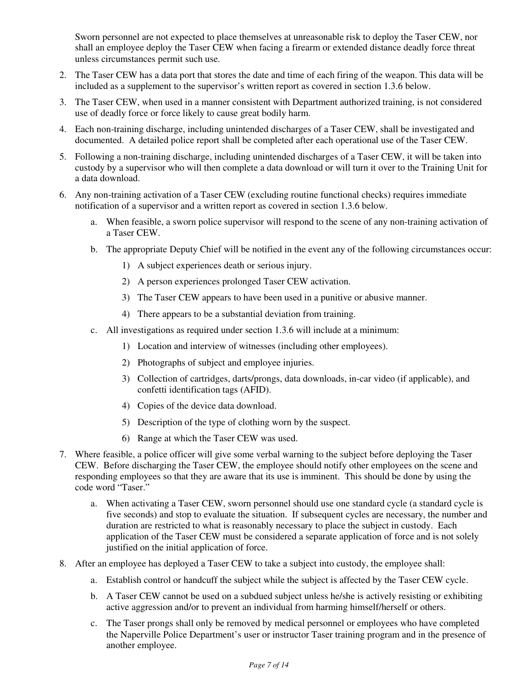Sworn personnel are not expected to place themselves at unreasonable risk to deploy the Taser CEW, nor shall an employee deploy the Taser CEW when facing a firearm or extended distance deadly force threat unless circumstances permit such use.

- 2. The Taser CEW has a data port that stores the date and time of each firing of the weapon. This data will be included as a supplement to the supervisor's written report as covered in section 1.3.6 below.
- 3. The Taser CEW, when used in a manner consistent with Department authorized training, is not considered use of deadly force or force likely to cause great bodily harm.
- 4. Each non-training discharge, including unintended discharges of a Taser CEW, shall be investigated and documented. A detailed police report shall be completed after each operational use of the Taser CEW.
- 5. Following a non-training discharge, including unintended discharges of a Taser CEW, it will be taken into custody by a supervisor who will then complete a data download or will turn it over to the Training Unit for a data download.
- 6. Any non-training activation of a Taser CEW (excluding routine functional checks) requires immediate notification of a supervisor and a written report as covered in section 1.3.6 below.
	- a. When feasible, a sworn police supervisor will respond to the scene of any non-training activation of a Taser CEW.
	- b. The appropriate Deputy Chief will be notified in the event any of the following circumstances occur:
		- 1) A subject experiences death or serious injury.
		- 2) A person experiences prolonged Taser CEW activation.
		- 3) The Taser CEW appears to have been used in a punitive or abusive manner.
		- 4) There appears to be a substantial deviation from training.
	- c. All investigations as required under section 1.3.6 will include at a minimum:
		- 1) Location and interview of witnesses (including other employees).
		- 2) Photographs of subject and employee injuries.
		- 3) Collection of cartridges, darts/prongs, data downloads, in-car video (if applicable), and confetti identification tags (AFID).
		- 4) Copies of the device data download.
		- 5) Description of the type of clothing worn by the suspect.
		- 6) Range at which the Taser CEW was used.
- 7. Where feasible, a police officer will give some verbal warning to the subject before deploying the Taser CEW. Before discharging the Taser CEW, the employee should notify other employees on the scene and responding employees so that they are aware that its use is imminent. This should be done by using the code word "Taser."
	- a. When activating a Taser CEW, sworn personnel should use one standard cycle (a standard cycle is five seconds) and stop to evaluate the situation. If subsequent cycles are necessary, the number and duration are restricted to what is reasonably necessary to place the subject in custody. Each application of the Taser CEW must be considered a separate application of force and is not solely justified on the initial application of force.
- 8. After an employee has deployed a Taser CEW to take a subject into custody, the employee shall:
	- a. Establish control or handcuff the subject while the subject is affected by the Taser CEW cycle.
	- b. A Taser CEW cannot be used on a subdued subject unless he/she is actively resisting or exhibiting active aggression and/or to prevent an individual from harming himself/herself or others.
	- c. The Taser prongs shall only be removed by medical personnel or employees who have completed the Naperville Police Department's user or instructor Taser training program and in the presence of another employee.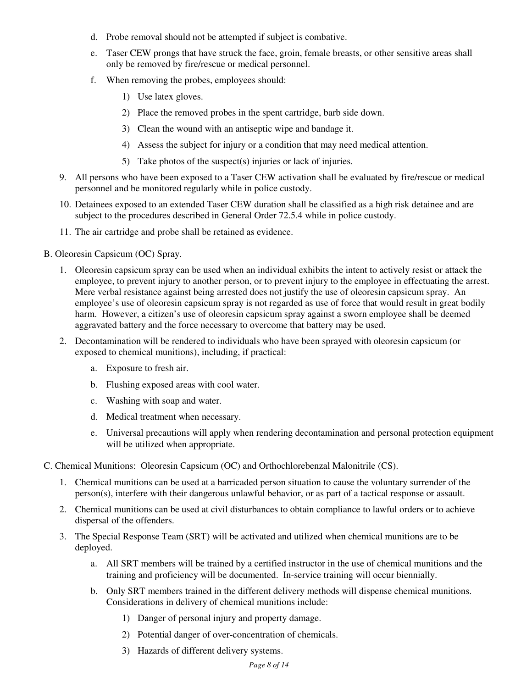- d. Probe removal should not be attempted if subject is combative.
- e. Taser CEW prongs that have struck the face, groin, female breasts, or other sensitive areas shall only be removed by fire/rescue or medical personnel.
- f. When removing the probes, employees should:
	- 1) Use latex gloves.
	- 2) Place the removed probes in the spent cartridge, barb side down.
	- 3) Clean the wound with an antiseptic wipe and bandage it.
	- 4) Assess the subject for injury or a condition that may need medical attention.
	- 5) Take photos of the suspect(s) injuries or lack of injuries.
- 9. All persons who have been exposed to a Taser CEW activation shall be evaluated by fire/rescue or medical personnel and be monitored regularly while in police custody.
- 10. Detainees exposed to an extended Taser CEW duration shall be classified as a high risk detainee and are subject to the procedures described in General Order 72.5.4 while in police custody.
- 11. The air cartridge and probe shall be retained as evidence.
- B. Oleoresin Capsicum (OC) Spray.
	- 1. Oleoresin capsicum spray can be used when an individual exhibits the intent to actively resist or attack the employee, to prevent injury to another person, or to prevent injury to the employee in effectuating the arrest. Mere verbal resistance against being arrested does not justify the use of oleoresin capsicum spray. An employee's use of oleoresin capsicum spray is not regarded as use of force that would result in great bodily harm. However, a citizen's use of oleoresin capsicum spray against a sworn employee shall be deemed aggravated battery and the force necessary to overcome that battery may be used.
	- 2. Decontamination will be rendered to individuals who have been sprayed with oleoresin capsicum (or exposed to chemical munitions), including, if practical:
		- a. Exposure to fresh air.
		- b. Flushing exposed areas with cool water.
		- c. Washing with soap and water.
		- d. Medical treatment when necessary.
		- e. Universal precautions will apply when rendering decontamination and personal protection equipment will be utilized when appropriate.
- C. Chemical Munitions: Oleoresin Capsicum (OC) and Orthochlorebenzal Malonitrile (CS).
	- 1. Chemical munitions can be used at a barricaded person situation to cause the voluntary surrender of the person(s), interfere with their dangerous unlawful behavior, or as part of a tactical response or assault.
	- 2. Chemical munitions can be used at civil disturbances to obtain compliance to lawful orders or to achieve dispersal of the offenders.
	- 3. The Special Response Team (SRT) will be activated and utilized when chemical munitions are to be deployed.
		- a. All SRT members will be trained by a certified instructor in the use of chemical munitions and the training and proficiency will be documented. In-service training will occur biennially.
		- b. Only SRT members trained in the different delivery methods will dispense chemical munitions. Considerations in delivery of chemical munitions include:
			- 1) Danger of personal injury and property damage.
			- 2) Potential danger of over-concentration of chemicals.
			- 3) Hazards of different delivery systems.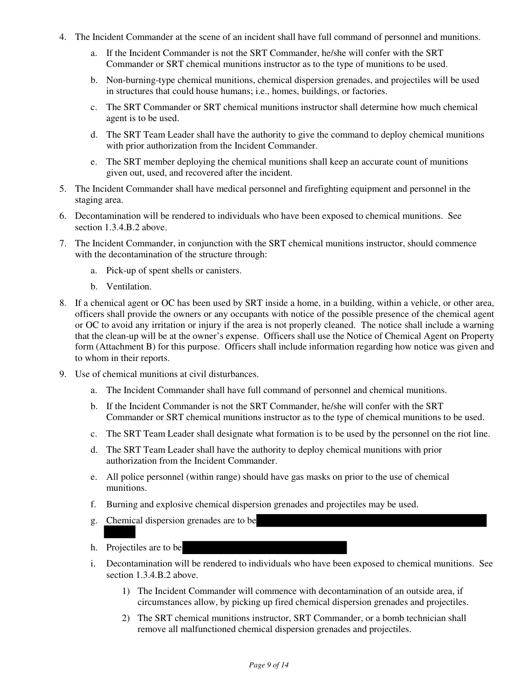- 4. The Incident Commander at the scene of an incident shall have full command of personnel and munitions.
	- a. If the Incident Commander is not the SRT Commander, he/she will confer with the SRT Commander or SRT chemical munitions instructor as to the type of munitions to be used.
	- b. Non-burning-type chemical munitions, chemical dispersion grenades, and projectiles will be used in structures that could house humans; i.e., homes, buildings, or factories.
	- c. The SRT Commander or SRT chemical munitions instructor shall determine how much chemical agent is to be used.
	- d. The SRT Team Leader shall have the authority to give the command to deploy chemical munitions with prior authorization from the Incident Commander.
	- e. The SRT member deploying the chemical munitions shall keep an accurate count of munitions given out, used, and recovered after the incident.
- 5. The Incident Commander shall have medical personnel and firefighting equipment and personnel in the staging area.
- 6. Decontamination will be rendered to individuals who have been exposed to chemical munitions. See section 1.3.4.B.2 above.
- 7. The Incident Commander, in conjunction with the SRT chemical munitions instructor, should commence with the decontamination of the structure through:
	- a. Pick-up of spent shells or canisters.
	- b. Ventilation.
- 8. If a chemical agent or OC has been used by SRT inside a home, in a building, within a vehicle, or other area, officers shall provide the owners or any occupants with notice of the possible presence of the chemical agent or OC to avoid any irritation or injury if the area is not properly cleaned. The notice shall include a warning that the clean-up will be at the owner's expense. Officers shall use the Notice of Chemical Agent on Property form (Attachment B) for this purpose. Officers shall include information regarding how notice was given and to whom in their reports.
- 9. Use of chemical munitions at civil disturbances.
	- a. The Incident Commander shall have full command of personnel and chemical munitions.
	- b. If the Incident Commander is not the SRT Commander, he/she will confer with the SRT Commander or SRT chemical munitions instructor as to the type of chemical munitions to be used.
	- c. The SRT Team Leader shall designate what formation is to be used by the personnel on the riot line.
	- d. The SRT Team Leader shall have the authority to deploy chemical munitions with prior authorization from the Incident Commander.
	- e. All police personnel (within range) should have gas masks on prior to the use of chemical munitions.
	- f. Burning and explosive chemical dispersion grenades and projectiles may be used.
	- g. Chemical dispersion grenades are to be
	- h. Projectiles are to be
	- i. Decontamination will be rendered to individuals who have been exposed to chemical munitions. See section 1.3.4.B.2 above.
		- 1) The Incident Commander will commence with decontamination of an outside area, if circumstances allow, by picking up fired chemical dispersion grenades and projectiles.
		- 2) The SRT chemical munitions instructor, SRT Commander, or a bomb technician shall remove all malfunctioned chemical dispersion grenades and projectiles.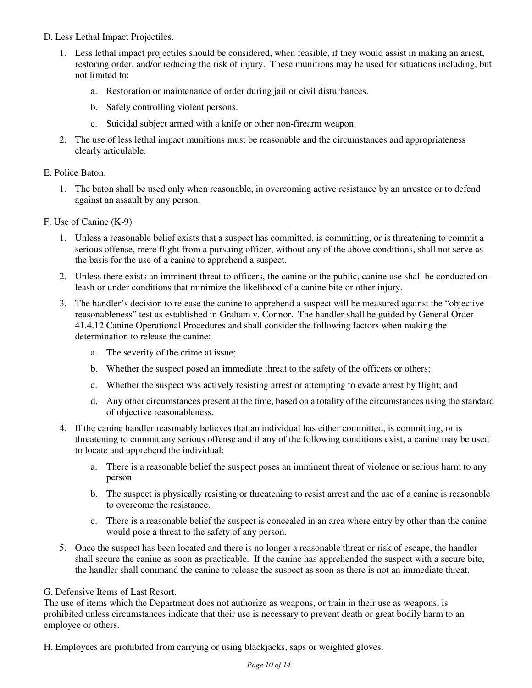- D. Less Lethal Impact Projectiles.
	- 1. Less lethal impact projectiles should be considered, when feasible, if they would assist in making an arrest, restoring order, and/or reducing the risk of injury. These munitions may be used for situations including, but not limited to:
		- a. Restoration or maintenance of order during jail or civil disturbances.
		- b. Safely controlling violent persons.
		- c. Suicidal subject armed with a knife or other non-firearm weapon.
	- 2. The use of less lethal impact munitions must be reasonable and the circumstances and appropriateness clearly articulable.

#### E. Police Baton.

- 1. The baton shall be used only when reasonable, in overcoming active resistance by an arrestee or to defend against an assault by any person.
- F. Use of Canine (K-9)
	- 1. Unless a reasonable belief exists that a suspect has committed, is committing, or is threatening to commit a serious offense, mere flight from a pursuing officer, without any of the above conditions, shall not serve as the basis for the use of a canine to apprehend a suspect.
	- 2. Unless there exists an imminent threat to officers, the canine or the public, canine use shall be conducted onleash or under conditions that minimize the likelihood of a canine bite or other injury.
	- 3. The handler's decision to release the canine to apprehend a suspect will be measured against the "objective reasonableness" test as established in Graham v. Connor. The handler shall be guided by General Order 41.4.12 Canine Operational Procedures and shall consider the following factors when making the determination to release the canine:
		- a. The severity of the crime at issue;
		- b. Whether the suspect posed an immediate threat to the safety of the officers or others;
		- c. Whether the suspect was actively resisting arrest or attempting to evade arrest by flight; and
		- d. Any other circumstances present at the time, based on a totality of the circumstances using the standard of objective reasonableness.
	- 4. If the canine handler reasonably believes that an individual has either committed, is committing, or is threatening to commit any serious offense and if any of the following conditions exist, a canine may be used to locate and apprehend the individual:
		- a. There is a reasonable belief the suspect poses an imminent threat of violence or serious harm to any person.
		- b. The suspect is physically resisting or threatening to resist arrest and the use of a canine is reasonable to overcome the resistance.
		- c. There is a reasonable belief the suspect is concealed in an area where entry by other than the canine would pose a threat to the safety of any person.
	- 5. Once the suspect has been located and there is no longer a reasonable threat or risk of escape, the handler shall secure the canine as soon as practicable. If the canine has apprehended the suspect with a secure bite, the handler shall command the canine to release the suspect as soon as there is not an immediate threat.

#### G. Defensive Items of Last Resort.

The use of items which the Department does not authorize as weapons, or train in their use as weapons, is prohibited unless circumstances indicate that their use is necessary to prevent death or great bodily harm to an employee or others.

H. Employees are prohibited from carrying or using blackjacks, saps or weighted gloves.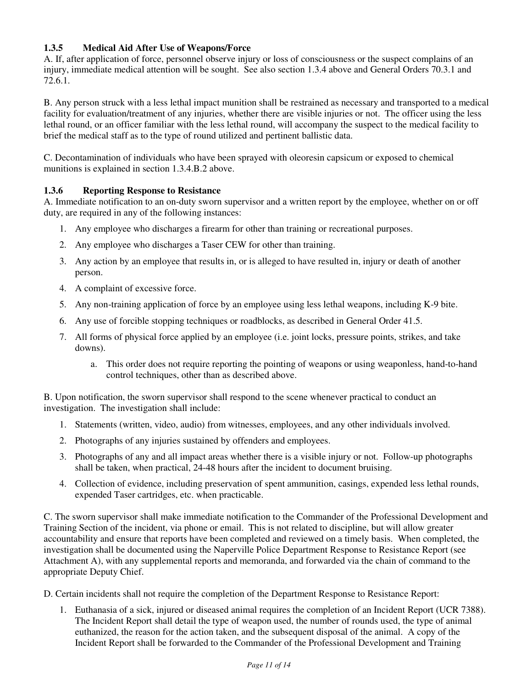# **1.3.5 Medical Aid After Use of Weapons/Force**

A. If, after application of force, personnel observe injury or loss of consciousness or the suspect complains of an injury, immediate medical attention will be sought. See also section 1.3.4 above and General Orders 70.3.1 and 72.6.1.

B. Any person struck with a less lethal impact munition shall be restrained as necessary and transported to a medical facility for evaluation/treatment of any injuries, whether there are visible injuries or not. The officer using the less lethal round, or an officer familiar with the less lethal round, will accompany the suspect to the medical facility to brief the medical staff as to the type of round utilized and pertinent ballistic data.

C. Decontamination of individuals who have been sprayed with oleoresin capsicum or exposed to chemical munitions is explained in section 1.3.4.B.2 above.

### **1.3.6 Reporting Response to Resistance**

A. Immediate notification to an on-duty sworn supervisor and a written report by the employee, whether on or off duty, are required in any of the following instances:

- 1. Any employee who discharges a firearm for other than training or recreational purposes.
- 2. Any employee who discharges a Taser CEW for other than training.
- 3. Any action by an employee that results in, or is alleged to have resulted in, injury or death of another person.
- 4. A complaint of excessive force.
- 5. Any non-training application of force by an employee using less lethal weapons, including K-9 bite.
- 6. Any use of forcible stopping techniques or roadblocks, as described in General Order 41.5.
- 7. All forms of physical force applied by an employee (i.e. joint locks, pressure points, strikes, and take downs).
	- a. This order does not require reporting the pointing of weapons or using weaponless, hand-to-hand control techniques, other than as described above.

B. Upon notification, the sworn supervisor shall respond to the scene whenever practical to conduct an investigation. The investigation shall include:

- 1. Statements (written, video, audio) from witnesses, employees, and any other individuals involved.
- 2. Photographs of any injuries sustained by offenders and employees.
- 3. Photographs of any and all impact areas whether there is a visible injury or not. Follow-up photographs shall be taken, when practical, 24-48 hours after the incident to document bruising.
- 4. Collection of evidence, including preservation of spent ammunition, casings, expended less lethal rounds, expended Taser cartridges, etc. when practicable.

C. The sworn supervisor shall make immediate notification to the Commander of the Professional Development and Training Section of the incident, via phone or email. This is not related to discipline, but will allow greater accountability and ensure that reports have been completed and reviewed on a timely basis. When completed, the investigation shall be documented using the Naperville Police Department Response to Resistance Report (see Attachment A), with any supplemental reports and memoranda, and forwarded via the chain of command to the appropriate Deputy Chief.

D. Certain incidents shall not require the completion of the Department Response to Resistance Report:

1. Euthanasia of a sick, injured or diseased animal requires the completion of an Incident Report (UCR 7388). The Incident Report shall detail the type of weapon used, the number of rounds used, the type of animal euthanized, the reason for the action taken, and the subsequent disposal of the animal. A copy of the Incident Report shall be forwarded to the Commander of the Professional Development and Training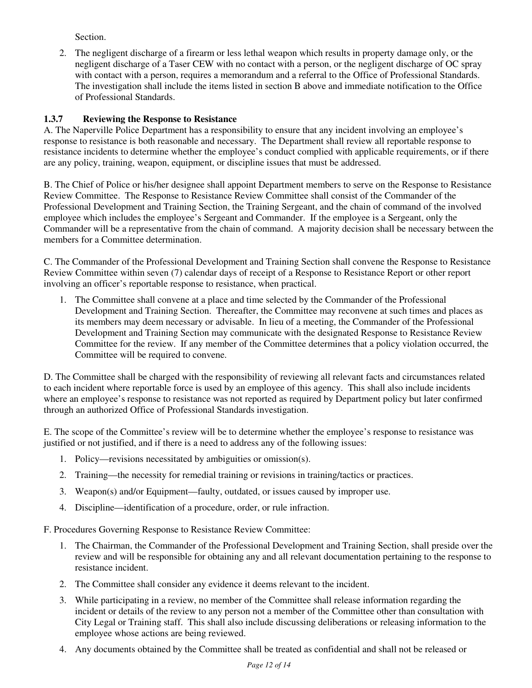Section.

2. The negligent discharge of a firearm or less lethal weapon which results in property damage only, or the negligent discharge of a Taser CEW with no contact with a person, or the negligent discharge of OC spray with contact with a person, requires a memorandum and a referral to the Office of Professional Standards. The investigation shall include the items listed in section B above and immediate notification to the Office of Professional Standards.

# **1.3.7 Reviewing the Response to Resistance**

A. The Naperville Police Department has a responsibility to ensure that any incident involving an employee's response to resistance is both reasonable and necessary. The Department shall review all reportable response to resistance incidents to determine whether the employee's conduct complied with applicable requirements, or if there are any policy, training, weapon, equipment, or discipline issues that must be addressed.

B. The Chief of Police or his/her designee shall appoint Department members to serve on the Response to Resistance Review Committee. The Response to Resistance Review Committee shall consist of the Commander of the Professional Development and Training Section, the Training Sergeant, and the chain of command of the involved employee which includes the employee's Sergeant and Commander. If the employee is a Sergeant, only the Commander will be a representative from the chain of command. A majority decision shall be necessary between the members for a Committee determination.

C. The Commander of the Professional Development and Training Section shall convene the Response to Resistance Review Committee within seven (7) calendar days of receipt of a Response to Resistance Report or other report involving an officer's reportable response to resistance, when practical.

1. The Committee shall convene at a place and time selected by the Commander of the Professional Development and Training Section. Thereafter, the Committee may reconvene at such times and places as its members may deem necessary or advisable. In lieu of a meeting, the Commander of the Professional Development and Training Section may communicate with the designated Response to Resistance Review Committee for the review. If any member of the Committee determines that a policy violation occurred, the Committee will be required to convene.

D. The Committee shall be charged with the responsibility of reviewing all relevant facts and circumstances related to each incident where reportable force is used by an employee of this agency. This shall also include incidents where an employee's response to resistance was not reported as required by Department policy but later confirmed through an authorized Office of Professional Standards investigation.

E. The scope of the Committee's review will be to determine whether the employee's response to resistance was justified or not justified, and if there is a need to address any of the following issues:

- 1. Policy—revisions necessitated by ambiguities or omission(s).
- 2. Training—the necessity for remedial training or revisions in training/tactics or practices.
- 3. Weapon(s) and/or Equipment—faulty, outdated, or issues caused by improper use.
- 4. Discipline—identification of a procedure, order, or rule infraction.

F. Procedures Governing Response to Resistance Review Committee:

- 1. The Chairman, the Commander of the Professional Development and Training Section, shall preside over the review and will be responsible for obtaining any and all relevant documentation pertaining to the response to resistance incident.
- 2. The Committee shall consider any evidence it deems relevant to the incident.
- 3. While participating in a review, no member of the Committee shall release information regarding the incident or details of the review to any person not a member of the Committee other than consultation with City Legal or Training staff. This shall also include discussing deliberations or releasing information to the employee whose actions are being reviewed.
- 4. Any documents obtained by the Committee shall be treated as confidential and shall not be released or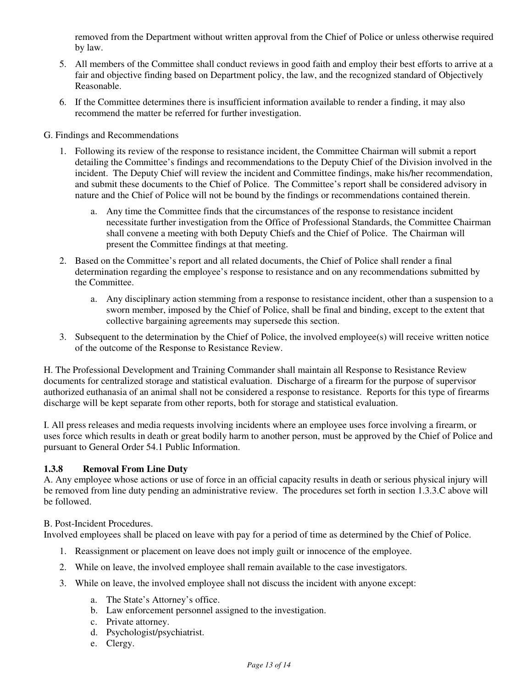removed from the Department without written approval from the Chief of Police or unless otherwise required by law.

- 5. All members of the Committee shall conduct reviews in good faith and employ their best efforts to arrive at a fair and objective finding based on Department policy, the law, and the recognized standard of Objectively Reasonable.
- 6. If the Committee determines there is insufficient information available to render a finding, it may also recommend the matter be referred for further investigation.
- G. Findings and Recommendations
	- 1. Following its review of the response to resistance incident, the Committee Chairman will submit a report detailing the Committee's findings and recommendations to the Deputy Chief of the Division involved in the incident. The Deputy Chief will review the incident and Committee findings, make his/her recommendation, and submit these documents to the Chief of Police. The Committee's report shall be considered advisory in nature and the Chief of Police will not be bound by the findings or recommendations contained therein.
		- a. Any time the Committee finds that the circumstances of the response to resistance incident necessitate further investigation from the Office of Professional Standards, the Committee Chairman shall convene a meeting with both Deputy Chiefs and the Chief of Police. The Chairman will present the Committee findings at that meeting.
	- 2. Based on the Committee's report and all related documents, the Chief of Police shall render a final determination regarding the employee's response to resistance and on any recommendations submitted by the Committee.
		- a. Any disciplinary action stemming from a response to resistance incident, other than a suspension to a sworn member, imposed by the Chief of Police, shall be final and binding, except to the extent that collective bargaining agreements may supersede this section.
	- 3. Subsequent to the determination by the Chief of Police, the involved employee(s) will receive written notice of the outcome of the Response to Resistance Review.

H. The Professional Development and Training Commander shall maintain all Response to Resistance Review documents for centralized storage and statistical evaluation. Discharge of a firearm for the purpose of supervisor authorized euthanasia of an animal shall not be considered a response to resistance. Reports for this type of firearms discharge will be kept separate from other reports, both for storage and statistical evaluation.

I. All press releases and media requests involving incidents where an employee uses force involving a firearm, or uses force which results in death or great bodily harm to another person, must be approved by the Chief of Police and pursuant to General Order 54.1 Public Information.

# **1.3.8 Removal From Line Duty**

A. Any employee whose actions or use of force in an official capacity results in death or serious physical injury will be removed from line duty pending an administrative review. The procedures set forth in section 1.3.3.C above will be followed.

# B. Post-Incident Procedures.

Involved employees shall be placed on leave with pay for a period of time as determined by the Chief of Police.

- 1. Reassignment or placement on leave does not imply guilt or innocence of the employee.
- 2. While on leave, the involved employee shall remain available to the case investigators.
- 3. While on leave, the involved employee shall not discuss the incident with anyone except:
	- a. The State's Attorney's office.
	- b. Law enforcement personnel assigned to the investigation.
	- c. Private attorney.
	- d. Psychologist/psychiatrist.
	- e. Clergy.